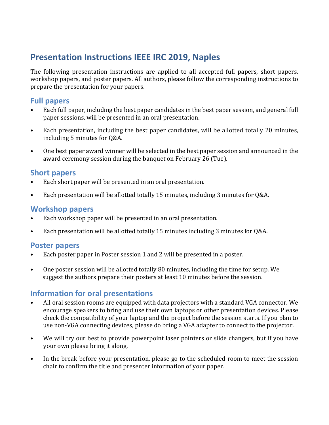# **Presentation Instructions IEEE IRC 2019, Naples**

The following presentation instructions are applied to all accepted full papers, short papers, workshop papers, and poster papers. All authors, please follow the corresponding instructions to prepare the presentation for your papers.

# **Full papers**

- Each full paper, including the best paper candidates in the best paper session, and general full paper sessions, will be presented in an oral presentation.
- Each presentation, including the best paper candidates, will be allotted totally 20 minutes, including 5 minutes for Q&A.
- One best paper award winner will be selected in the best paper session and announced in the award ceremony session during the banquet on February 26 (Tue).

### **Short papers**

- Each short paper will be presented in an oral presentation.
- Each presentation will be allotted totally 15 minutes, including 3 minutes for Q&A.

# **Workshop papers**

- Each workshop paper will be presented in an oral presentation.
- Each presentation will be allotted totally 15 minutes including 3 minutes for Q&A.

### **Poster papers**

- Each poster paper in Poster session 1 and 2 will be presented in a poster.
- One poster session will be allotted totally 80 minutes, including the time for setup. We suggest the authors prepare their posters at least 10 minutes before the session.

### **Information for oral presentations**

- All oral session rooms are equipped with data projectors with a standard VGA connector. We encourage speakers to bring and use their own laptops or other presentation devices. Please check the compatibility of your laptop and the project before the session starts. If you plan to use non-VGA connecting devices, please do bring a VGA adapter to connect to the projector.
- We will try our best to provide powerpoint laser pointers or slide changers, but if you have your own please bring it along.
- In the break before your presentation, please go to the scheduled room to meet the session chair to confirm the title and presenter information of your paper.